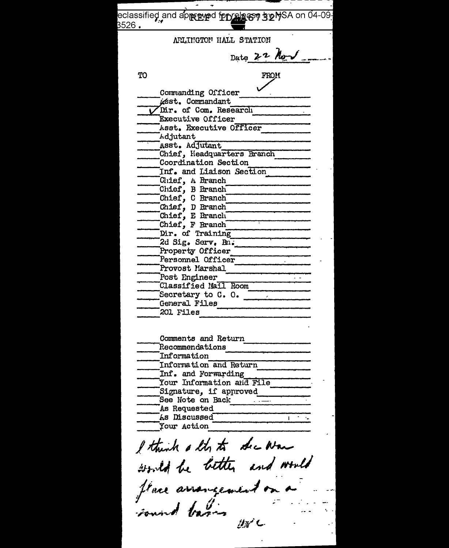| eclassified and ap <sub>f資料</sub> ad fepres669 52MSA on 04-09.<br>- - - - |
|---------------------------------------------------------------------------|
| $3526$ .                                                                  |
| ARLINGTON HALL STATION                                                    |
|                                                                           |
| Date 22 Nov                                                               |
|                                                                           |
| TO<br>FROM                                                                |
|                                                                           |
| Commanding Officer                                                        |
| usst. Cormandant                                                          |
| Dir. of Com. Research<br><b>Executive Officer</b>                         |
| Asst. Executive Officer                                                   |
| Adjutant                                                                  |
| Asst. Adjutant                                                            |
| Chief, Headquarters Branch                                                |
| Coordination Section                                                      |
| Inf. and Liaison Section                                                  |
| Chief, A Branch                                                           |
| Chief, B Branch                                                           |
| Chief, C Branch<br>Chief, D Branch<br>Chief, E Branch                     |
|                                                                           |
|                                                                           |
| Chief, F Branch                                                           |
| Dir. of Training                                                          |
| 2d Sig. Serv. Bn.<br>Property Officer                                     |
| Personnel Officer                                                         |
| Provost Marshal                                                           |
| Post Engineer                                                             |
| Classified Mail Room                                                      |
| Secretary to $C. 0.$                                                      |
| General Files                                                             |
| 201 Files                                                                 |
|                                                                           |
|                                                                           |
| Comments and Return                                                       |
| Recommendations<br>Information                                            |
| Information and Return                                                    |
| Inf. and Forwarding                                                       |
| Your Information and File                                                 |
| Signature, if approved                                                    |
| See Note on Back                                                          |
| As Requested                                                              |
| As Discussed                                                              |
| Your Action                                                               |
|                                                                           |
| I think a lty to dec War                                                  |
|                                                                           |
| would be better and would                                                 |
|                                                                           |
|                                                                           |
| flace arrangement o                                                       |
|                                                                           |
| Found barin                                                               |
|                                                                           |
|                                                                           |
|                                                                           |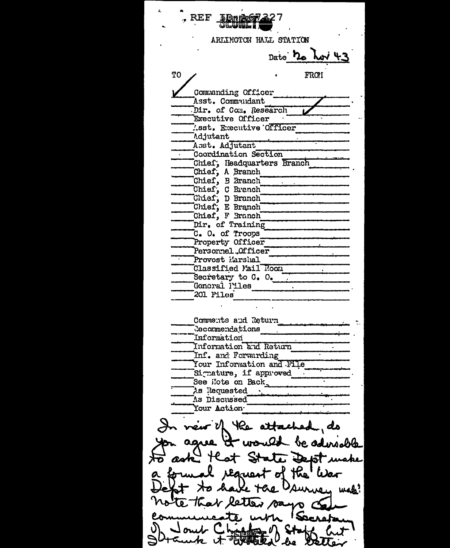**REF** ARLINGTON HALL STATION Date **ho hov 4.3** T<sub>O</sub> FRO1 Commanding Officer Asst. Commandant Dir. of Com. Research Executive Officer .sst. Executive Officer **Adjutant** Asst. Adjutant Coordination Section Chief; Headquarters Branch Chief, A Branch Chief, B Branch Chief, C Branch<br>Chief, D Branch Chief, E Branch Chief, F Branch Dir. of Training C. O. of Troops Property Officer **Contract Contract** Personnel Officer Provost Marshal Classified Mail Room Secretary to C. O. General Piles 201 Files Comments and Return Recommendations Information Information and Return Inf. and Forwarding Your Information and File Signature, if approved See Hote on Back. As Discussed Your Action T vew of the attached ds be adereable aase A **Lind** e DebT us d the Earres Qurie, mad? V letter says of Sacred 医四四豆豆 'Lre **DEU**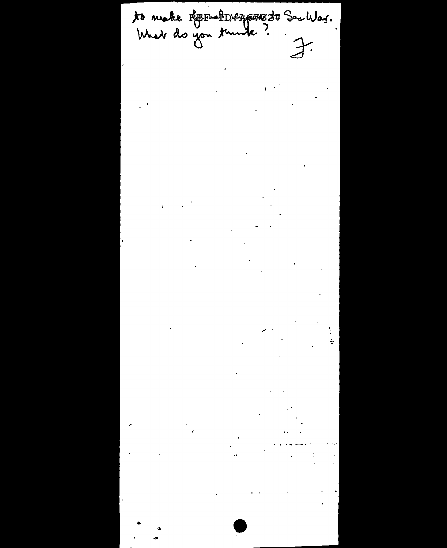to make REENfrageworth Sechlar.<br>What do you tumbe?<br>I.  $\frac{1}{2}$  $\sim 100$  $\label{eq:2} \frac{1}{2} \sum_{i=1}^n \frac{1}{2} \sum_{j=1}^n \frac{1}{2} \sum_{j=1}^n \frac{1}{2} \sum_{j=1}^n \frac{1}{2} \sum_{j=1}^n \frac{1}{2} \sum_{j=1}^n \frac{1}{2} \sum_{j=1}^n \frac{1}{2} \sum_{j=1}^n \frac{1}{2} \sum_{j=1}^n \frac{1}{2} \sum_{j=1}^n \frac{1}{2} \sum_{j=1}^n \frac{1}{2} \sum_{j=1}^n \frac{1}{2} \sum_{j=1}^n \frac{1}{$  $\label{eq:2} \frac{1}{\sqrt{2}}\left(\frac{1}{\sqrt{2}}\right)^{2} \left(\frac{1}{\sqrt{2}}\right)^{2} \left(\frac{1}{\sqrt{2}}\right)^{2} \left(\frac{1}{\sqrt{2}}\right)^{2} \left(\frac{1}{\sqrt{2}}\right)^{2} \left(\frac{1}{\sqrt{2}}\right)^{2} \left(\frac{1}{\sqrt{2}}\right)^{2} \left(\frac{1}{\sqrt{2}}\right)^{2} \left(\frac{1}{\sqrt{2}}\right)^{2} \left(\frac{1}{\sqrt{2}}\right)^{2} \left(\frac{1}{\sqrt{2}}\right)^{2} \left(\frac{$  $\label{eq:2.1} \frac{1}{\sqrt{2}}\int_{\mathbb{R}^3}\frac{1}{\sqrt{2}}\left(\frac{1}{\sqrt{2}}\right)^2\frac{1}{\sqrt{2}}\left(\frac{1}{\sqrt{2}}\right)^2\frac{1}{\sqrt{2}}\left(\frac{1}{\sqrt{2}}\right)^2\frac{1}{\sqrt{2}}\left(\frac{1}{\sqrt{2}}\right)^2.$  $\mathcal{L}^{\mathcal{L}}(\mathcal{L}^{\mathcal{L}})$  and  $\mathcal{L}^{\mathcal{L}}(\mathcal{L}^{\mathcal{L}})$  and  $\mathcal{L}^{\mathcal{L}}(\mathcal{L}^{\mathcal{L}})$  $\sim 100$  keV  $\mathbb{R}^2$  $\mathcal{L}_{\text{max}}$  ,  $\mathcal{L}_{\text{max}}$  $\mathcal{L}^{\text{max}}_{\text{max}}$  and  $\mathcal{L}^{\text{max}}_{\text{max}}$  $\langle \mathbf{a} \rangle$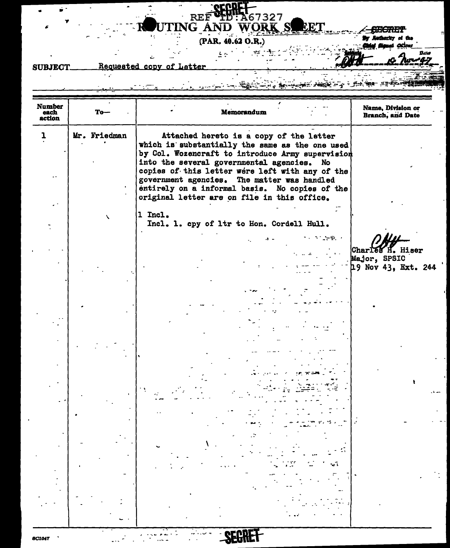

### $(PAR. 40.62 O.R.)$  $\frac{1}{2\pi}$  , where  $\frac{1}{2\pi}$

÷.

 $\mathbf{r}$ 

Ċ,

 $\sim 100$  km s  $^{-1}$ 

**ABECTURY** By Authority of the  $\alpha$ 

۱.

Bato

-47

Ŧ

#### Requested copy of Letter **SUBJECT**  $\sim$   $\mu$

ń

 $\bullet$ 

### 75<br>Na <u>n, horiom and</u> cy control and deligh **Commandered**

| <b>Number</b><br>each<br>action | To—          | Memorandum                                                                                                                                                                                                                                                                                                                                                                                      | Name, Division or<br>Branch, and Date                             |
|---------------------------------|--------------|-------------------------------------------------------------------------------------------------------------------------------------------------------------------------------------------------------------------------------------------------------------------------------------------------------------------------------------------------------------------------------------------------|-------------------------------------------------------------------|
| ı                               | Mr. Friedman | Attached hereto is a copy of the letter<br>which is substantially the same as the one used<br>by Col. Wozencraft to introduce Army supervision<br>into the several governmental agencies. No<br>copies of this letter were left with any of the<br>government agencies. The matter was handled<br>entirely on a informal basis. No copies of the<br>original letter are on file in this office. |                                                                   |
|                                 | ╲            | 1 Incl.<br>Incl. 1. cpy of ltr to Hon. Cordell Hull.                                                                                                                                                                                                                                                                                                                                            |                                                                   |
|                                 |              | s a stronger                                                                                                                                                                                                                                                                                                                                                                                    | H. Hiser<br><b>Charles</b><br>Major, SPSIC<br>19 Nov 43, Ext. 244 |
|                                 |              |                                                                                                                                                                                                                                                                                                                                                                                                 |                                                                   |
|                                 |              |                                                                                                                                                                                                                                                                                                                                                                                                 |                                                                   |
|                                 |              |                                                                                                                                                                                                                                                                                                                                                                                                 |                                                                   |
|                                 |              |                                                                                                                                                                                                                                                                                                                                                                                                 |                                                                   |
|                                 |              |                                                                                                                                                                                                                                                                                                                                                                                                 |                                                                   |
|                                 |              |                                                                                                                                                                                                                                                                                                                                                                                                 |                                                                   |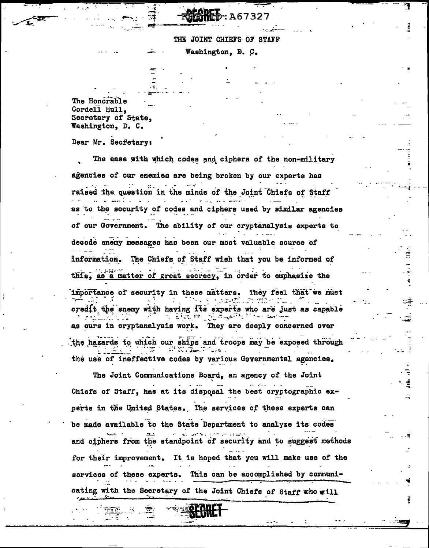## A6732

### THE JOINT CHIEFS OF STAFF

Washington, D. C.

The Honorable Cordell Hull, Secretary of State. Washington, D. C.

7

Dear Mr. Secfetary:

The ease with which codes and ciphers of the non-military agencies of our enemies are being broken by our experts has raised the question in the minds of the Joint Chiefs of Staff as to the security of codes and ciphers used by similar agencies of our Government. The ability of our cryptanalysis experts to decode enemy messages has been our most valuable source of information. The Chiefs of Staff wish that you be informed of this, as a matter of great secrecy, in order to emphasize the importance of security in these matters. They feel that we must s savaila ghe credit the enemy with having its experts who are just as capable ್ರೋಣ್ಣ ಪ್ರಮುಖ್ ಕಾಲ as ours in cryptanalysis work. They are deeply concerned over the hazards to which our ships and troops may be exposed through the use of ineffective codes by various Governmental agencies.

The Joint Communications Board, an agency of the Joint Chiefs of Staff, has at its disposal the best cryptographic experts in the United States. The services of these experts can be made available to the State Department to analyze its codes and ciphers from the standpoint of security and to suggest methods for their improvement. It is hoped that you will make use of the services of these experts. This can be accomplished by communicating with the Secretary of the Joint Chiefs of Staff who will

21